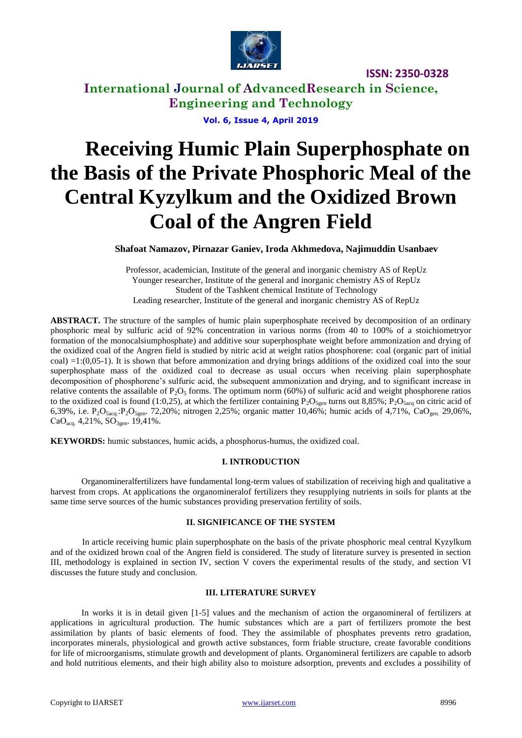

**International Journal of AdvancedResearch in Science, Engineering and Technology**

**Vol. 6, Issue 4, April 2019**

# **Receiving Humic Plain Superphosphate on the Basis of the Private Phosphoric Meal of the Central Kyzylkum and the Oxidized Brown Coal of the Angren Field**

**Shafoat Namazov, Pirnazar Ganiev, Iroda Akhmedova, Najimuddin Usanbaev**

Professor, academician, Institute of the general and inorganic chemistry AS of RepUz Younger researcher, Institute of the general and inorganic chemistry AS of RepUz Student of the Tashkent chemical Institute of Technology Leading researcher, Institute of the general and inorganic chemistry AS of RepUz

**ABSTRACT.** The structure of the samples of humic plain superphosphate received by decomposition of an ordinary phosphoric meal by sulfuric acid of 92% concentration in various norms (from 40 to 100% of a stoichiometryor formation of the monocalsiumphosphate) and additive sour superphosphate weight before ammonization and drying of the oxidized coal of the Angren field is studied by nitric acid at weight ratios phosphorene: coal (organic part of initial  $\text{coal}) = 1: (0,05-1)$ . It is shown that before ammonization and drying brings additions of the oxidized coal into the sour superphosphate mass of the oxidized coal to decrease as usual occurs when receiving plain superphosphate decomposition of phosphorene's sulfuric acid, the subsequent ammonization and drying, and to significant increase in relative contents the assailable of  $P_2O_5$  forms. The optimum norm (60%) of sulfuric acid and weight phosphorene ratios to the oxidized coal is found (1:0,25), at which the fertilizer containing  $P_2O_{5gen}$  turns out 8,85%;  $P_2O_{5acq}$  on citric acid of 6,39%, i.e. P<sub>2</sub>O<sub>5acq</sub>.:P<sub>2</sub>O<sub>5gen</sub>. 72,20%; nitrogen 2,25%; organic matter 10,46%; humic acids of 4,71%, CaO<sub>gen.</sub> 29,06%, CaO<sub>acq.</sub> 4,21%,  $SO<sub>3gen</sub>$ . 19,41%.

**KEYWORDS:** humic substances, humic acids, a phosphorus-humus, the oxidized coal.

## **I. INTRODUCTION**

Organomineralfertilizers have fundamental long-term values of stabilization of receiving high and qualitative a harvest from crops. At applications the organomineralof fertilizers they resupplying nutrients in soils for plants at the same time serve sources of the humic substances providing preservation fertility of soils.

## **II. SIGNIFICANCE OF THE SYSTEM**

In article receiving humic plain superphosphate on the basis of the private phosphoric meal central Kyzylkum and of the oxidized brown coal of the Angren field is considered. The study of literature survey is presented in section III, methodology is explained in section IV, section V covers the experimental results of the study, and section VI discusses the future study and conclusion.

### **III. LITERATURE SURVEY**

In works it is in detail given [1-5] values and the mechanism of action the organomineral of fertilizers at applications in agricultural production. The humic substances which are a part of fertilizers promote the best assimilation by plants of basic elements of food. They the assimilable of phosphates prevents retro gradation, incorporates minerals, physiological and growth active substances, form friable structure, create favorable conditions for life of microorganisms, stimulate growth and development of plants. Organomineral fertilizers are capable to adsorb and hold nutritious elements, and their high ability also to moisture adsorption, prevents and excludes a possibility of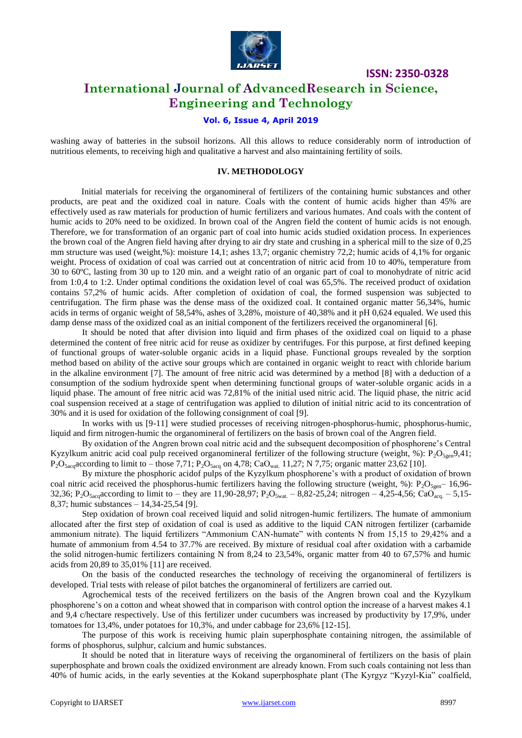

## **International Journal of AdvancedResearch in Science, Engineering and Technology**

## **Vol. 6, Issue 4, April 2019**

washing away of batteries in the subsoil horizons. All this allows to reduce considerably norm of introduction of nutritious elements, to receiving high and qualitative a harvest and also maintaining fertility of soils.

#### **IV. METHODOLOGY**

Initial materials for receiving the organomineral of fertilizers of the containing humic substances and other products, are peat and the oxidized coal in nature. Coals with the content of humic acids higher than 45% are effectively used as raw materials for production of humic fertilizers and various humates. And coals with the content of humic acids to 20% need to be oxidized. In brown coal of the Angren field the content of humic acids is not enough. Therefore, we for transformation of an organic part of coal into humic acids studied oxidation process. In experiences the brown coal of the Angren field having after drying to air dry state and crushing in a spherical mill to the size of 0,25 mm structure was used (weight,%): moisture 14,1; ashes 13,7; organic chemistry 72,2; humic acids of 4,1% for organic weight. Process of oxidation of coal was carried out at concentration of nitric acid from 10 to 40%, temperature from 30 to 60ºC, lasting from 30 up to 120 min. and a weight ratio of an organic part of coal to monohydrate of nitric acid from 1:0,4 to 1:2. Under optimal conditions the oxidation level of coal was 65,5%. The received product of oxidation contains 57,2% of humic acids. After completion of oxidation of coal, the formed suspension was subjected to centrifugation. The firm phase was the dense mass of the oxidized coal. It contained organic matter 56,34%, humic acids in terms of organic weight of 58,54%, ashes of 3,28%, moisture of 40,38% and it рН 0,624 equaled. We used this damp dense mass of the oxidized coal as an initial component of the fertilizers received the organomineral [6].

It should be noted that after division into liquid and firm phases of the oxidized coal on liquid to a phase determined the content of free nitric acid for reuse as oxidizer by centrifuges. For this purpose, at first defined keeping of functional groups of water-soluble organic acids in a liquid phase. Functional groups revealed by the sorption method based on ability of the active sour groups which are contained in organic weight to react with chloride barium in the alkaline environment [7]. The amount of free nitric acid was determined by a method [8] with a deduction of a consumption of the sodium hydroxide spent when determining functional groups of water-soluble organic acids in a liquid phase. The amount of free nitric acid was 72,81% of the initial used nitric acid. The liquid phase, the nitric acid coal suspension received at a stage of centrifugation was applied to dilution of initial nitric acid to its concentration of 30% and it is used for oxidation of the following consignment of coal [9].

In works with us [9-11] were studied processes of receiving nitrogen-phosphorus-humic, phosphorus-humic, liquid and firm nitrogen-humic the organomineral of fertilizers on the basis of brown coal of the Angren field.

By oxidation of the Angren brown coal nitric acid and the subsequent decomposition of phosphorene's Central Kyzylkum anitric acid coal pulp received organomineral fertilizer of the following structure (weight, %):  $P_2O_{5gen}$ 9,41;  $P_2O_{5acq}$ according to limit to – those 7,71;  $P_2O_{5acq}$  on 4,78; Ca $O_{wat}$  11,27; N 7,75; organic matter 23,62 [10].

By mixture the phosphoric acidof pulps of the Kyzylkum phosphorene's with a product of oxidation of brown coal nitric acid received the phosphorus-humic fertilizers having the following structure (weight, %):  $P_2O_{5\text{een}}$  16,96-32,36; P<sub>2</sub>O<sub>5acq</sub>according to limit to – they are 11,90-28,97; P<sub>2</sub>O<sub>5wat.</sub> – 8,82-25,24; nitrogen – 4,25-4,56; CaO<sub>acq.</sub> – 5,15-8,37; humic substances – 14,34-25,54 [9].

Step oxidation of brown coal received liquid and solid nitrogen-humic fertilizers. The humate of ammonium allocated after the first step of oxidation of coal is used as additive to the liquid CAN nitrogen fertilizer (carbamide ammonium nitrate). The liquid fertilizers "Ammonium CAN-humate" with contents N from 15,15 to 29,42% and a humate of ammonium from 4.54 to 37.7% are received. By mixture of residual coal after oxidation with a carbamide the solid nitrogen-humic fertilizers containing N from 8,24 to 23,54%, organic matter from 40 to 67,57% and humic acids from 20,89 to 35,01% [11] are received.

On the basis of the conducted researches the technology of receiving the organomineral of fertilizers is developed. Trial tests with release of pilot batches the organomineral of fertilizers are carried out.

Agrochemical tests of the received fertilizers on the basis of the Angren brown coal and the Kyzylkum phosphorene's on a cotton and wheat showed that in comparison with control option the increase of a harvest makes 4.1 and 9,4 c/hectare respectively. Use of this fertilizer under cucumbers was increased by productivity by 17,9%, under tomatoes for 13,4%, under potatoes for 10,3%, and under cabbage for 23,6% [12-15].

The purpose of this work is receiving humic plain superphosphate containing nitrogen, the assimilable of forms of phosphorus, sulphur, calcium and humic substances.

It should be noted that in literature ways of receiving the organomineral of fertilizers on the basis of plain superphosphate and brown coals the oxidized environment are already known. From such coals containing not less than 40% of humic acids, in the early seventies at the Kokand superphosphate plant (The Kyrgyz "Kyzyl-Kia" coalfield,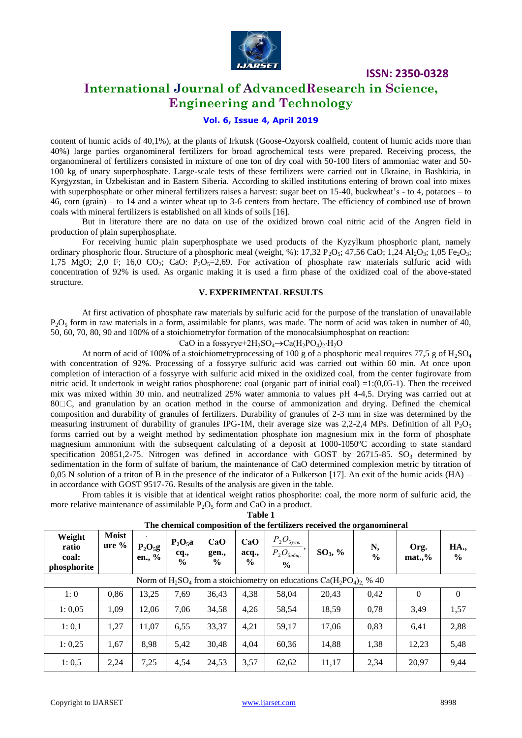

## **International Journal of AdvancedResearch in Science, Engineering and Technology**

## **Vol. 6, Issue 4, April 2019**

content of humic acids of 40,1%), at the plants of Irkutsk (Goose-Ozyorsk coalfield, content of humic acids more than 40%) large parties organomineral fertilizers for broad agrochemical tests were prepared. Receiving process, the organomineral of fertilizers consisted in mixture of one ton of dry coal with 50-100 liters of ammoniac water and 50- 100 kg of unary superphosphate. Large-scale tests of these fertilizers were carried out in Ukraine, in Bashkiria, in Kyrgyzstan, in Uzbekistan and in Eastern Siberia. According to skilled institutions entering of brown coal into mixes with superphosphate or other mineral fertilizers raises a harvest: sugar beet on 15-40, buckwheat's - to 4, potatoes – to 46, corn (grain) – to 14 and a winter wheat up to 3-6 centers from hectare. The efficiency of combined use of brown coals with mineral fertilizers is established on all kinds of soils [16].

But in literature there are no data on use of the oxidized brown coal nitric acid of the Angren field in production of plain superphosphate.

For receiving humic plain superphosphate we used products of the Kyzylkum phosphoric plant, namely ordinary phosphoric flour. Structure of a phosphoric meal (weight, %):  $17,32$  P<sub>2</sub>O<sub>5</sub>; 47,56 CaO; 1,24 Al<sub>2</sub>O<sub>3</sub>; 1,05 Fe<sub>2</sub>O<sub>3</sub>; 1,75 MgO; 2,0 F; 16,0 CO<sub>2</sub>; CaO: P<sub>2</sub>O<sub>5</sub>=2,69. For activation of phosphate raw materials sulfuric acid with concentration of 92% is used. As organic making it is used a firm phase of the oxidized coal of the above-stated structure.

## **V. EXPERIMENTAL RESULTS**

At first activation of phosphate raw materials by sulfuric acid for the purpose of the translation of unavailable  $P_2O_5$  form in raw materials in a form, assimilable for plants, was made. The norm of acid was taken in number of 40, 50, 60, 70, 80, 90 and 100% of a stoichiometryfor formation of the monocalsiumphosphat on reaction:

CaO in a fossyrye+2H<sub>2</sub>SO<sub>4</sub> $\rightarrow$ Ca(H<sub>2</sub>PO<sub>4</sub>)<sub>2</sub>·H<sub>2</sub>O

At norm of acid of 100% of a stoichiometryprocessing of 100 g of a phosphoric meal requires 77,5 g of  $H_2SO_4$ with concentration of 92%. Processing of a fossyrye sulfuric acid was carried out within 60 min. At once upon completion of interaction of a fossyrye with sulfuric acid mixed in the oxidized coal, from the center fugirovate from nitric acid. It undertook in weight ratios phosphorene: coal (organic part of initial coal)  $=1:(0,05-1)$ . Then the received mix was mixed within 30 min. and neutralized 25% water ammonia to values рН 4-4,5. Drying was carried out at 80 C, and granulation by an ocation method in the course of ammonization and drying. Defined the chemical composition and durability of granules of fertilizers. Durability of granules of 2-3 mm in size was determined by the measuring instrument of durability of granules IPG-1M, their average size was 2,2-2,4 MPs. Definition of all  $P_2O_5$ forms carried out by a weight method by sedimentation phosphate ion magnesium mix in the form of phosphate magnesium ammonium with the subsequent calculating of a deposit at 1000-1050ºC according to state standard specification 20851,2-75. Nitrogen was defined in accordance with GOST by 26715-85. SO<sub>3</sub> determined by sedimentation in the form of sulfate of barium, the maintenance of CaO determined complexion metric by titration of 0,05 N solution of a triton of B in the presence of the indicator of a Fulkerson [17]. An exit of the humic acids  $(HA)$  – in accordance with GOST 9517-76. Results of the analysis are given in the table.

From tables it is visible that at identical weight ratios phosphorite: coal, the more norm of sulfuric acid, the more relative maintenance of assimilable  $P_2O_5$  form and CaO in a product. **Table 1**

| The chemical composition of the fertilizers received the organomineral    |                          |                     |                                    |                               |                               |                                                      |            |                     |                  |                     |
|---------------------------------------------------------------------------|--------------------------|---------------------|------------------------------------|-------------------------------|-------------------------------|------------------------------------------------------|------------|---------------------|------------------|---------------------|
| Weight<br>ratio<br>coal:<br>phosphorite                                   | <b>Moist</b><br>$ure \%$ | $P_2O_5g$<br>en., % | $P_2O_5a$<br>cq.,<br>$\frac{0}{0}$ | CaO<br>gen.,<br>$\frac{6}{9}$ | CaO<br>acq.,<br>$\frac{0}{0}$ | $P_2O_{5yc_{6}}$<br>$P_{2}O_{500u}$<br>$\frac{6}{9}$ | $SO_3, \%$ | N,<br>$\frac{6}{6}$ | Org.<br>$mat.$ % | <b>HA.,</b><br>$\%$ |
| Norm of $H_2SO_4$ from a stoichiometry on educations $Ca(H_2PO_4)_2$ % 40 |                          |                     |                                    |                               |                               |                                                      |            |                     |                  |                     |
| 1:0                                                                       | 0,86                     | 13,25               | 7,69                               | 36.43                         | 4,38                          | 58,04                                                | 20,43      | 0,42                | $\Omega$         | $\Omega$            |
| 1:0,05                                                                    | 1,09                     | 12.06               | 7,06                               | 34,58                         | 4,26                          | 58,54                                                | 18,59      | 0,78                | 3,49             | 1,57                |
| 1:0,1                                                                     | 1,27                     | 11,07               | 6,55                               | 33,37                         | 4,21                          | 59,17                                                | 17,06      | 0,83                | 6,41             | 2,88                |
| 1:0,25                                                                    | 1,67                     | 8,98                | 5,42                               | 30,48                         | 4,04                          | 60,36                                                | 14,88      | 1,38                | 12,23            | 5,48                |
| 1:0,5                                                                     | 2,24                     | 7,25                | 4,54                               | 24,53                         | 3,57                          | 62,62                                                | 11,17      | 2,34                | 20,97            | 9,44                |

**The chemical composition of the fertilizers received the organomineral**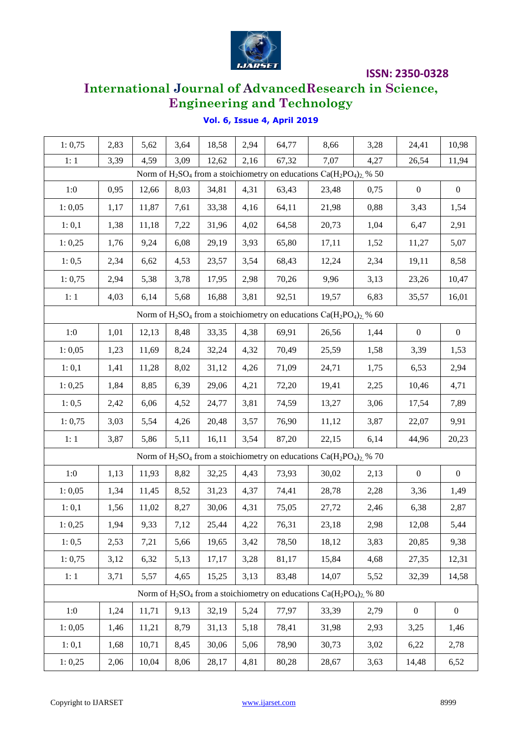

# **International Journal of AdvancedResearch in Science, Engineering and Technology**

| 1: 0,75                                                                     | 2,83 | 5,62  | 3,64 | 18,58 | 2,94 | 64,77 | 8,66                                                                        | 3,28 | 24,41            | 10,98            |
|-----------------------------------------------------------------------------|------|-------|------|-------|------|-------|-----------------------------------------------------------------------------|------|------------------|------------------|
| 1:1                                                                         | 3,39 | 4,59  | 3,09 | 12,62 | 2,16 | 67,32 | 7,07                                                                        | 4,27 | 26,54            | 11,94            |
| Norm of $H_2SO_4$ from a stoichiometry on educations $Ca(H_2PO_4)_2$ , % 50 |      |       |      |       |      |       |                                                                             |      |                  |                  |
| 1:0                                                                         | 0,95 | 12,66 | 8,03 | 34,81 | 4,31 | 63,43 | 23,48                                                                       | 0,75 | $\boldsymbol{0}$ | $\overline{0}$   |
| 1:0,05                                                                      | 1,17 | 11,87 | 7,61 | 33,38 | 4,16 | 64,11 | 21,98                                                                       | 0,88 | 3,43             | 1,54             |
| 1: 0,1                                                                      | 1,38 | 11,18 | 7,22 | 31,96 | 4,02 | 64,58 | 20,73                                                                       | 1,04 | 6,47             | 2,91             |
| 1:0,25                                                                      | 1,76 | 9,24  | 6,08 | 29,19 | 3,93 | 65,80 | 17,11                                                                       | 1,52 | 11,27            | 5,07             |
| 1:0,5                                                                       | 2,34 | 6,62  | 4,53 | 23,57 | 3,54 | 68,43 | 12,24                                                                       | 2,34 | 19,11            | 8,58             |
| 1: 0,75                                                                     | 2,94 | 5,38  | 3,78 | 17,95 | 2,98 | 70,26 | 9,96                                                                        | 3,13 | 23,26            | 10,47            |
| 1:1                                                                         | 4,03 | 6,14  | 5,68 | 16,88 | 3,81 | 92,51 | 19,57                                                                       | 6,83 | 35,57            | 16,01            |
| Norm of $H_2SO_4$ from a stoichiometry on educations $Ca(H_2PO_4)_2$ , % 60 |      |       |      |       |      |       |                                                                             |      |                  |                  |
| 1:0                                                                         | 1,01 | 12,13 | 8,48 | 33,35 | 4,38 | 69,91 | 26,56                                                                       | 1,44 | $\boldsymbol{0}$ | $\boldsymbol{0}$ |
| 1:0,05                                                                      | 1,23 | 11,69 | 8,24 | 32,24 | 4,32 | 70,49 | 25,59                                                                       | 1,58 | 3,39             | 1,53             |
| 1: 0,1                                                                      | 1,41 | 11,28 | 8,02 | 31,12 | 4,26 | 71,09 | 24,71                                                                       | 1,75 | 6,53             | 2,94             |
| 1:0,25                                                                      | 1,84 | 8,85  | 6,39 | 29,06 | 4,21 | 72,20 | 19,41                                                                       | 2,25 | 10,46            | 4,71             |
| 1:0,5                                                                       | 2,42 | 6,06  | 4,52 | 24,77 | 3,81 | 74,59 | 13,27                                                                       | 3,06 | 17,54            | 7,89             |
| 1:0,75                                                                      | 3,03 | 5,54  | 4,26 | 20,48 | 3,57 | 76,90 | 11,12                                                                       | 3,87 | 22,07            | 9,91             |
| 1:1                                                                         | 3,87 | 5,86  | 5,11 | 16,11 | 3,54 | 87,20 | 22,15                                                                       | 6,14 | 44,96            | 20,23            |
|                                                                             |      |       |      |       |      |       | Norm of $H_2SO_4$ from a stoichiometry on educations $Ca(H_2PO_4)_2$ , % 70 |      |                  |                  |
| $1:0$                                                                       | 1,13 | 11,93 | 8,82 | 32,25 | 4,43 | 73,93 | 30,02                                                                       | 2,13 | $\boldsymbol{0}$ | $\boldsymbol{0}$ |
| 1:0,05                                                                      | 1,34 | 11,45 | 8,52 | 31,23 | 4,37 | 74,41 | 28,78                                                                       | 2,28 | 3,36             | 1,49             |
| 1: 0,1                                                                      | 1,56 | 11,02 | 8,27 | 30,06 | 4,31 | 75,05 | 27,72                                                                       | 2,46 | 6,38             | 2,87             |
| 1:0,25                                                                      | 1,94 | 9,33  | 7,12 | 25,44 | 4,22 | 76,31 | 23,18                                                                       | 2,98 | 12,08            | 5,44             |
| 1:0,5                                                                       | 2,53 | 7,21  | 5,66 | 19,65 | 3,42 | 78,50 | 18,12                                                                       | 3,83 | 20,85            | 9,38             |
| 1: 0,75                                                                     | 3,12 | 6,32  | 5,13 | 17,17 | 3,28 | 81,17 | 15,84                                                                       | 4,68 | 27,35            | 12,31            |
| 1:1                                                                         | 3,71 | 5,57  | 4,65 | 15,25 | 3,13 | 83,48 | 14,07                                                                       | 5,52 | 32,39            | 14,58            |
| Norm of $H_2SO_4$ from a stoichiometry on educations $Ca(H_2PO_4)_2$ , % 80 |      |       |      |       |      |       |                                                                             |      |                  |                  |
| 1:0                                                                         | 1,24 | 11,71 | 9,13 | 32,19 | 5,24 | 77,97 | 33,39                                                                       | 2,79 | $\boldsymbol{0}$ | $\boldsymbol{0}$ |
| 1:0,05                                                                      | 1,46 | 11,21 | 8,79 | 31,13 | 5,18 | 78,41 | 31,98                                                                       | 2,93 | 3,25             | 1,46             |
| 1:0,1                                                                       | 1,68 | 10,71 | 8,45 | 30,06 | 5,06 | 78,90 | 30,73                                                                       | 3,02 | 6,22             | 2,78             |
| 1: 0,25                                                                     | 2,06 | 10,04 | 8,06 | 28,17 | 4,81 | 80,28 | 28,67                                                                       | 3,63 | 14,48            | 6,52             |

## **Vol. 6, Issue 4, April 2019**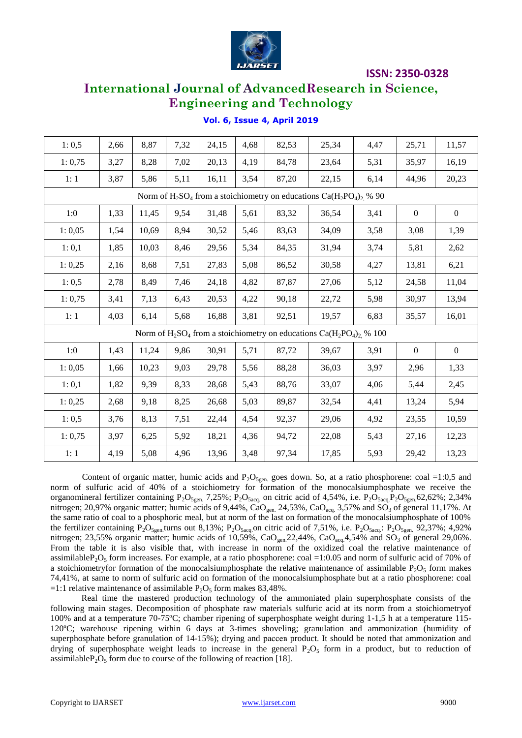

# **International Journal of AdvancedResearch in Science, Engineering and Technology**

| 1:0,5                                                                        | 2,66 | 8,87  | 7,32 | 24,15 | 4,68 | 82,53 | 25,34 | 4,47 | 25,71            | 11,57          |
|------------------------------------------------------------------------------|------|-------|------|-------|------|-------|-------|------|------------------|----------------|
| 1:0,75                                                                       | 3,27 | 8,28  | 7,02 | 20,13 | 4,19 | 84,78 | 23,64 | 5,31 | 35,97            | 16,19          |
| 1:1                                                                          | 3,87 | 5,86  | 5,11 | 16,11 | 3,54 | 87,20 | 22,15 | 6,14 | 44,96            | 20,23          |
| Norm of $H_2SO_4$ from a stoichiometry on educations $Ca(H_2PO_4)_2$ % 90    |      |       |      |       |      |       |       |      |                  |                |
| 1:0                                                                          | 1,33 | 11,45 | 9,54 | 31,48 | 5,61 | 83,32 | 36,54 | 3,41 | $\boldsymbol{0}$ | $\overline{0}$ |
| 1:0,05                                                                       | 1,54 | 10,69 | 8,94 | 30,52 | 5,46 | 83,63 | 34,09 | 3,58 | 3,08             | 1,39           |
| 1:0,1                                                                        | 1,85 | 10,03 | 8,46 | 29,56 | 5,34 | 84,35 | 31,94 | 3,74 | 5,81             | 2,62           |
| 1: 0,25                                                                      | 2,16 | 8,68  | 7,51 | 27,83 | 5,08 | 86,52 | 30,58 | 4,27 | 13,81            | 6,21           |
| 1:0,5                                                                        | 2,78 | 8,49  | 7,46 | 24,18 | 4,82 | 87,87 | 27,06 | 5,12 | 24,58            | 11,04          |
| 1:0,75                                                                       | 3,41 | 7,13  | 6,43 | 20,53 | 4,22 | 90,18 | 22,72 | 5,98 | 30,97            | 13,94          |
| 1:1                                                                          | 4,03 | 6,14  | 5,68 | 16,88 | 3,81 | 92,51 | 19,57 | 6,83 | 35,57            | 16,01          |
| Norm of $H_2SO_4$ from a stoichiometry on educations $Ca(H_2PO_4)_2$ , % 100 |      |       |      |       |      |       |       |      |                  |                |
| 1:0                                                                          | 1,43 | 11,24 | 9,86 | 30,91 | 5,71 | 87,72 | 39,67 | 3,91 | $\boldsymbol{0}$ | $\mathbf{0}$   |
| 1:0,05                                                                       | 1,66 | 10,23 | 9,03 | 29,78 | 5,56 | 88,28 | 36,03 | 3,97 | 2,96             | 1,33           |
| 1:0,1                                                                        | 1,82 | 9,39  | 8,33 | 28,68 | 5,43 | 88,76 | 33,07 | 4,06 | 5,44             | 2,45           |
| 1:0,25                                                                       | 2,68 | 9,18  | 8,25 | 26,68 | 5,03 | 89,87 | 32,54 | 4,41 | 13,24            | 5,94           |
| 1:0,5                                                                        | 3,76 | 8,13  | 7,51 | 22,44 | 4,54 | 92,37 | 29,06 | 4,92 | 23,55            | 10,59          |
| 1:0,75                                                                       | 3,97 | 6,25  | 5,92 | 18,21 | 4,36 | 94,72 | 22,08 | 5,43 | 27,16            | 12,23          |
| 1:1                                                                          | 4,19 | 5,08  | 4,96 | 13,96 | 3,48 | 97,34 | 17,85 | 5,93 | 29,42            | 13,23          |
|                                                                              |      |       |      |       |      |       |       |      |                  |                |

## **Vol. 6, Issue 4, April 2019**

Content of organic matter, humic acids and  $P_2O_{5gen}$  goes down. So, at a ratio phosphorene: coal =1:0,5 and norm of sulfuric acid of 40% of a stoichiometry for formation of the monocalsiumphosphate we receive the organomineral fertilizer containing  $P_2O_{5gen}$ . 7,25%;  $P_2O_{5acc}$  on citric acid of 4,54%, i.e.  $P_2O_{5acc}P_2O_{5gen}$ .62,62%; 2,34% nitrogen; 20,97% organic matter; humic acids of 9,44%, CaO<sub>gen.</sub> 24,53%, CaO<sub>acq.</sub> 3,57% and SO<sub>3</sub> of general 11,17%. At the same ratio of coal to a phosphoric meal, but at norm of the last on formation of the monocalsiumphosphate of 100% the fertilizer containing  $P_2O_{5gen}$  turns out 8,13%;  $P_2O_{5aca}$  on citric acid of 7,51%, i.e.  $P_2O_{5aca}$ :  $P_2O_{5een}$  92,37%; 4,92% nitrogen; 23,55% organic matter; humic acids of 10,59%,  $CaO<sub>gen</sub>$ 22,44%,  $CaO<sub>acq</sub>$ 4,54% and SO<sub>3</sub> of general 29,06%. From the table it is also visible that, with increase in norm of the oxidized coal the relative maintenance of assimilable $P_2O_5$  form increases. For example, at a ratio phosphorene: coal =1:0.05 and norm of sulfuric acid of 70% of a stoichiometryfor formation of the monocalsiumphosphate the relative maintenance of assimilable  $P_2O_5$  form makes 74,41%, at same to norm of sulfuric acid on formation of the monocalsiumphosphate but at a ratio phosphorene: coal =1:1 relative maintenance of assimilable  $P_2O_5$  form makes 83,48%.

Real time the mastered production technology of the ammoniated plain superphosphate consists of the following main stages. Decomposition of phosphate raw materials sulfuric acid at its norm from a stoichiometryof 100% and at a temperature 70-75ºC; chamber ripening of superphosphate weight during 1-1,5 h at a temperature 115- 120ºC; warehouse ripening within 6 days at 3-times shoveling; granulation and ammonization (humidity of superphosphate before granulation of 14-15%); drying and рассев product. It should be noted that ammonization and drying of superphosphate weight leads to increase in the general  $P_2O_5$  form in a product, but to reduction of assimilable  $P_2O_5$  form due to course of the following of reaction [18].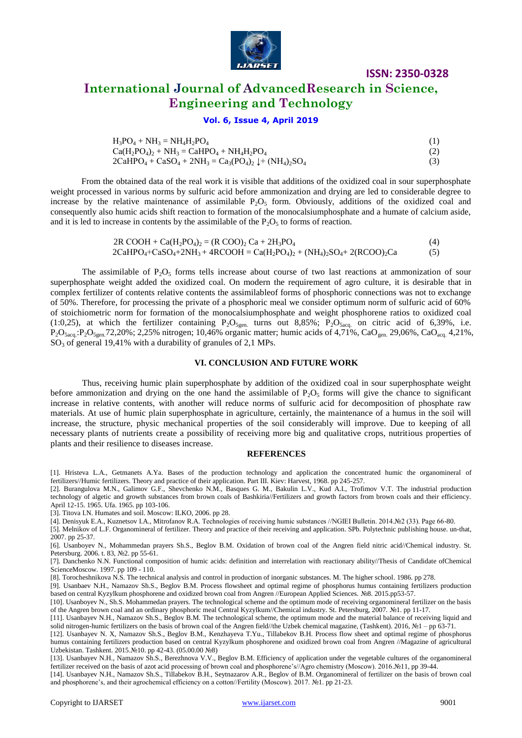

# **International Journal of AdvancedResearch in Science, Engineering and Technology**

## **Vol. 6, Issue 4, April 2019**

| $H_3PO_4 + NH_3 = NH_4H_2PO_4$                                                                          |     |
|---------------------------------------------------------------------------------------------------------|-----|
| $Ca(H_2PO_4)$ , + NH <sub>3</sub> = CaHPO <sub>4</sub> + NH <sub>4</sub> H <sub>2</sub> PO <sub>4</sub> |     |
| $2CaHPO4 + CaSO4 + 2NH3 = Ca3(PO4), \downarrow + (NH4), SO4$                                            | (3) |

From the obtained data of the real work it is visible that additions of the oxidized coal in sour superphosphate weight processed in various norms by sulfuric acid before ammonization and drying are led to considerable degree to increase by the relative maintenance of assimilable  $P_2O_5$  form. Obviously, additions of the oxidized coal and consequently also humic acids shift reaction to formation of the monocalsiumphosphate and a humate of calcium aside, and it is led to increase in contents by the assimilable of the  $P_2O_5$  to forms of reaction.

> $2R COOH + Ca(H_2PO_4)_2 = (R COO)_2 Ca + 2H_3PO_4$  (4)  $2CAHPO_4 + CaSO_4 + 2NH_3 + 4RCOOH = Ca(H_2PO_4)_2 + (NH_4)_2SO_4 + 2(RCOO)_2Ca$  (5)

The assimilable of  $P_2O_5$  forms tells increase about course of two last reactions at ammonization of sour superphosphate weight added the oxidized coal. On modern the requirement of agro culture, it is desirable that in complex fertilizer of contents relative contents the assimilableof forms of phosphoric connections was not to exchange of 50%. Therefore, for processing the private of a phosphoric meal we consider optimum norm of sulfuric acid of 60% of stoichiometric norm for formation of the monocalsiumphosphate and weight phosphorene ratios to oxidized coal (1:0,25), at which the fertilizer containing  $P_2O_{5gen}$  turns out 8,85%;  $P_2O_{5acc}$  on citric acid of 6,39%, i.e.  $P_2O_{5acq}$ : $P_2O_{5gen}$ .72,20%; 2,25% nitrogen; 10,46% organic matter; humic acids of 4,71%, CaO<sub>gen.</sub> 29,06%, CaO<sub>acq.</sub> 4,21%,  $SO<sub>3</sub>$  of general 19,41% with a durability of granules of 2,1 MPs.

#### **VI. CONCLUSION AND FUTURE WORK**

Thus, receiving humic plain superphosphate by addition of the oxidized coal in sour superphosphate weight before ammonization and drying on the one hand the assimilable of  $P_2O_5$  forms will give the chance to significant increase in relative contents, with another will reduce norms of sulfuric acid for decomposition of phosphate raw materials. At use of humic plain superphosphate in agriculture, certainly, the maintenance of a humus in the soil will increase, the structure, physic mechanical properties of the soil considerably will improve. Due to keeping of all necessary plants of nutrients create a possibility of receiving more big and qualitative crops, nutritious properties of plants and their resilience to diseases increase.

#### **REFERENCES**

[2]. Burangulova M.N., Galimov G.F., Shevchenko N.M., Basques G. M., Bakulin L.V., Kud A.I., Trofimov V.T. The industrial production technology of algetic and growth substances from brown coals of Bashkiria//Fertilizers and growth factors from brown coals and their efficiency. April 12-15. 1965. Ufa. 1965. pp 103-106.

[3]. Titova I.N. Humates and soil. Moscow: ILKO, 2006. pp 28.

[4]. Denisyuk E.A., Kuznetsov I.A., Mitrofanov R.A. Technologies of receiving humic substances //NGIEI Bulletin. 2014.№2 (33). Page 66-80.

[5]. Melnikov of L.F. Organomineral of fertilizer. Theory and practice of their receiving and application. SPb. Polytechnic publishing house. un-that, 2007. pp 25-37.

[6]. Usanboyev N., Mohammedan prayers Sh.S., Beglov B.M. Oxidation of brown coal of the Angren field nitric acid//Chemical industry. St. Petersburg. 2006. t. 83, №2. pp 55-61.

[7]. Danchenko N.N. Functional composition of humic acids: definition and interrelation with reactionary ability//Thesis of Candidate ofChemical ScienceMoscow. 1997. pp 109 - 110.

[8]. Torocheshnikova N.S. The technical analysis and control in production of inorganic substances. M. The higher school. 1986. pp 278.

[9]. Usanbaev N.H., Namazov Sh.S., Beglov B.М. Process flowsheet and optimal regime of phosphorus humus containing fertilizers production based on central Kyzylkum phosphorene and oxidized brown coal from Angren //European Applied Sciences. №8. 2015.pp53-57.

[10]. Usanboyev N., Sh.S. Mohammedan prayers. The technological scheme and the optimum mode of receiving organomineral fertilizer on the basis of the Angren brown coal and an ordinary phosphoric meal Central Kyzylkum//Chemical industry. St. Petersburg, 2007. №1. pp 11-17.

[11]. Usanbayev N.H., Namazov Sh.S., Beglov B.M. The technological scheme, the optimum mode and the material balance of receiving liquid and solid nitrogen-humic fertilizers on the basis of brown coal of the Angren field//the Uzbek chemical magazine, (Tashkent). 2016, №1 – pp 63-71.

[12]. Usanbayev N. X, Namazov Sh.S., Beglov B.M., Kenzhayeva T.Yu., Tillabekov B.H. Process flow sheet and optimal regime of phosphorus humus containing fertilizers production based on central Kyzylkum phosphorene and oxidized brown coal from Angren //Magazine of agricultural Uzbekistan. Tashkent. 2015.№10. pp 42-43. (05.00.00 №8)

[13]. Usanbayev N.H., Namazov Sh.S., Berezhnova V.V., Beglov B.M. Efficiency of application under the vegetable cultures of the organomineral fertilizer received on the basis of azot acid processing of brown coal and phosphorene's//Agro chemistry (Moscow). 2016.№11, pp 39-44.

[14]. Usanbayev N.H., Namazov Sh.S., Tillabekov B.H., Seytnazarov A.R., Beglov of B.M. Organomineral of fertilizer on the basis of brown coal and phosphorene's, and their agrochemical efficiency on a cotton//Fertility (Moscow). 2017. №1. pp 21-23.

<sup>[1].</sup> Hristeva L.A., Getmanets A.Ya. Bases of the production technology and application the concentrated humic the organomineral of fertilizers//Humic fertilizers. Theory and practice of their application. Part III. Kiev: Harvest, 1968. pp 245-257.